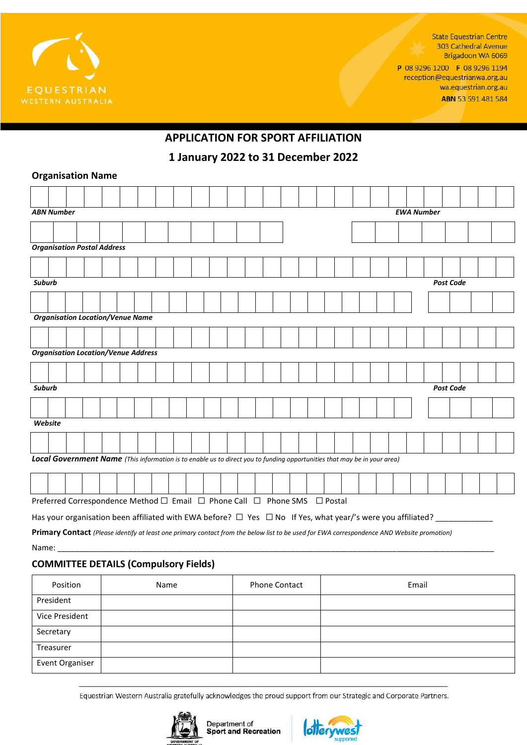

**State Equestrian Centre** 303 Cathedral Avenue Brigadoon WA 6069

P 08 9296 1200 F 08 9296 1194 reception@equestrianwa.org.au wa.equestrian.org.au ABN 53 591 481 584

# **APPLICATION FOR SPORT AFFILIATION**

**1 January 2022 to 31 December 2022**

### **Organisation Name**

|                                   |                                                                                                                          | <b>ABN Number</b> |                                                                           |  |  |  |  |  |  |  |  |  |  |  |  |  |  |  |  | <b>EWA Number</b> |                  |  |  |
|-----------------------------------|--------------------------------------------------------------------------------------------------------------------------|-------------------|---------------------------------------------------------------------------|--|--|--|--|--|--|--|--|--|--|--|--|--|--|--|--|-------------------|------------------|--|--|
|                                   |                                                                                                                          |                   |                                                                           |  |  |  |  |  |  |  |  |  |  |  |  |  |  |  |  |                   |                  |  |  |
|                                   | <b>Organisation Postal Address</b>                                                                                       |                   |                                                                           |  |  |  |  |  |  |  |  |  |  |  |  |  |  |  |  |                   |                  |  |  |
|                                   |                                                                                                                          |                   |                                                                           |  |  |  |  |  |  |  |  |  |  |  |  |  |  |  |  |                   |                  |  |  |
| <b>Suburb</b><br><b>Post Code</b> |                                                                                                                          |                   |                                                                           |  |  |  |  |  |  |  |  |  |  |  |  |  |  |  |  |                   |                  |  |  |
|                                   |                                                                                                                          |                   |                                                                           |  |  |  |  |  |  |  |  |  |  |  |  |  |  |  |  |                   |                  |  |  |
|                                   |                                                                                                                          |                   | <b>Organisation Location/Venue Name</b>                                   |  |  |  |  |  |  |  |  |  |  |  |  |  |  |  |  |                   |                  |  |  |
|                                   |                                                                                                                          |                   |                                                                           |  |  |  |  |  |  |  |  |  |  |  |  |  |  |  |  |                   |                  |  |  |
|                                   |                                                                                                                          |                   | <b>Organisation Location/Venue Address</b>                                |  |  |  |  |  |  |  |  |  |  |  |  |  |  |  |  |                   |                  |  |  |
|                                   |                                                                                                                          |                   |                                                                           |  |  |  |  |  |  |  |  |  |  |  |  |  |  |  |  |                   |                  |  |  |
| Suburb                            |                                                                                                                          |                   |                                                                           |  |  |  |  |  |  |  |  |  |  |  |  |  |  |  |  |                   | <b>Post Code</b> |  |  |
|                                   |                                                                                                                          |                   |                                                                           |  |  |  |  |  |  |  |  |  |  |  |  |  |  |  |  |                   |                  |  |  |
| Website                           |                                                                                                                          |                   |                                                                           |  |  |  |  |  |  |  |  |  |  |  |  |  |  |  |  |                   |                  |  |  |
|                                   |                                                                                                                          |                   |                                                                           |  |  |  |  |  |  |  |  |  |  |  |  |  |  |  |  |                   |                  |  |  |
|                                   | Local Government Name (This information is to enable us to direct you to funding opportunities that may be in your area) |                   |                                                                           |  |  |  |  |  |  |  |  |  |  |  |  |  |  |  |  |                   |                  |  |  |
|                                   |                                                                                                                          |                   |                                                                           |  |  |  |  |  |  |  |  |  |  |  |  |  |  |  |  |                   |                  |  |  |
|                                   |                                                                                                                          |                   | Preferred Correspondence Method □ Email □ Phone Call □ Phone SMS □ Postal |  |  |  |  |  |  |  |  |  |  |  |  |  |  |  |  |                   |                  |  |  |
|                                   | Has your organisation been affiliated with EWA before? $\Box$ Yes $\Box$ No If Yes, what year/'s were you affiliated? _  |                   |                                                                           |  |  |  |  |  |  |  |  |  |  |  |  |  |  |  |  |                   |                  |  |  |

**Primary Contact** *(Please identify at least one primary contact from the below list to be used for EWA correspondence AND Website promotion)* Name: \_\_\_\_\_\_\_\_\_\_\_\_\_\_\_\_\_\_\_\_\_\_\_\_\_\_\_\_\_\_\_\_\_\_\_\_\_\_\_\_\_\_\_\_\_\_\_\_\_\_\_\_\_\_\_\_\_\_\_\_\_\_\_\_\_\_\_\_\_\_\_\_\_\_\_\_\_\_\_\_\_\_\_\_\_\_\_\_\_\_\_\_\_\_\_\_\_\_\_

## **COMMITTEE DETAILS (Compulsory Fields)**

| Position        | Name | <b>Phone Contact</b> | Email |
|-----------------|------|----------------------|-------|
| President       |      |                      |       |
| Vice President  |      |                      |       |
| Secretary       |      |                      |       |
| Treasurer       |      |                      |       |
| Event Organiser |      |                      |       |

Equestrian Western Australia gratefully acknowledges the proud support from our Strategic and Corporate Partners.